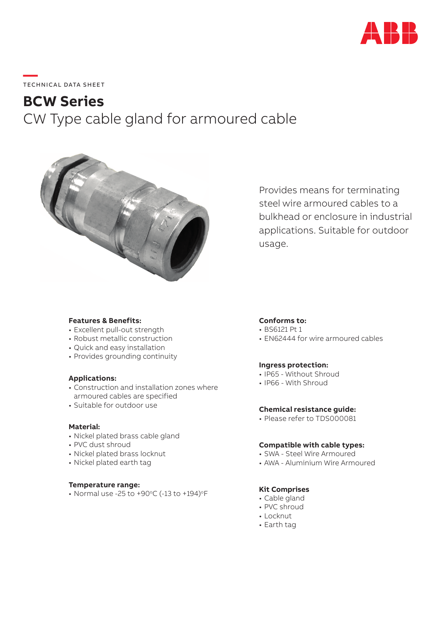

# **—**  TECHNICAL DATA SHEET

# **BCW Series** CW Type cable gland for armoured cable



Provides means for terminating steel wire armoured cables to a bulkhead or enclosure in industrial applications. Suitable for outdoor usage.

# **Features & Benefits:**

- Excellent pull-out strength
- Robust metallic construction
- Quick and easy installation
- Provides grounding continuity

# **Applications:**

- Construction and installation zones where armoured cables are specified
- Suitable for outdoor use

#### **Material:**

- Nickel plated brass cable gland
- PVC dust shroud
- Nickel plated brass locknut
- Nickel plated earth tag

### **Temperature range:**

• Normal use -25 to +90 $^{\circ}$ C (-13 to +194) $^{\circ}$ F

# **Conforms to:**

- BS6121 Pt 1
- EN62444 for wire armoured cables

# **Ingress protection:**

- IP65 Without Shroud
- IP66 With Shroud

# **Chemical resistance guide:**

• Please refer to TDS000081

#### **Compatible with cable types:**

- SWA Steel Wire Armoured
- AWA Aluminium Wire Armoured

# **Kit Comprises**

- Cable gland
- PVC shroud
- Locknut
- Earth tag